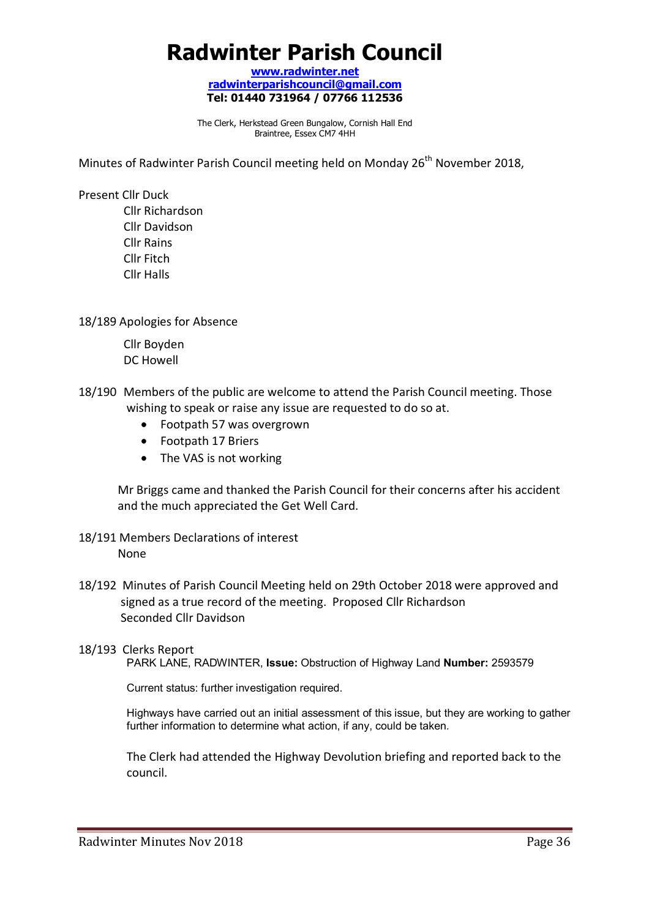# **Radwinter Parish Council**

**www.radwinter.net radwinterparishcouncil@gmail.com Tel: 01440 731964 / 07766 112536** 

The Clerk, Herkstead Green Bungalow, Cornish Hall End Braintree, Essex CM7 4HH

Minutes of Radwinter Parish Council meeting held on Monday 26<sup>th</sup> November 2018,

Present Cllr Duck

 Cllr Richardson Cllr Davidson Cllr Rains Cllr Fitch Cllr Halls

18/189 Apologies for Absence

 Cllr Boyden DC Howell

- 18/190 Members of the public are welcome to attend the Parish Council meeting. Those wishing to speak or raise any issue are requested to do so at.
	- Footpath 57 was overgrown
	- Footpath 17 Briers
	- The VAS is not working

Mr Briggs came and thanked the Parish Council for their concerns after his accident and the much appreciated the Get Well Card.

- 18/191 Members Declarations of interest None
- 18/192 Minutes of Parish Council Meeting held on 29th October 2018 were approved and signed as a true record of the meeting. Proposed Cllr Richardson Seconded Cllr Davidson
- 18/193 Clerks Report PARK LANE, RADWINTER, **Issue:** Obstruction of Highway Land **Number:** 2593579

Current status: further investigation required.

Highways have carried out an initial assessment of this issue, but they are working to gather further information to determine what action, if any, could be taken.

The Clerk had attended the Highway Devolution briefing and reported back to the council.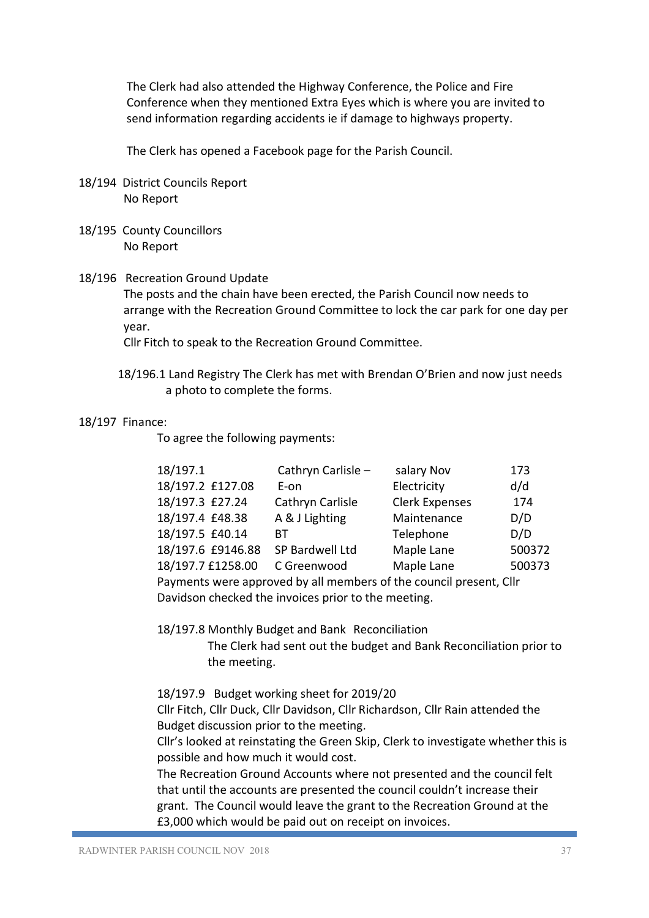The Clerk had also attended the Highway Conference, the Police and Fire Conference when they mentioned Extra Eyes which is where you are invited to send information regarding accidents ie if damage to highways property.

The Clerk has opened a Facebook page for the Parish Council.

- 18/194 District Councils Report No Report
- 18/195 County Councillors No Report

### 18/196 Recreation Ground Update

The posts and the chain have been erected, the Parish Council now needs to arrange with the Recreation Ground Committee to lock the car park for one day per year.

Cllr Fitch to speak to the Recreation Ground Committee.

18/196.1 Land Registry The Clerk has met with Brendan O'Brien and now just needs a photo to complete the forms.

#### 18/197 Finance:

To agree the following payments:

| 18/197.1          | Cathryn Carlisle - | salary Nov            | 173    |
|-------------------|--------------------|-----------------------|--------|
| 18/197.2 £127.08  | E-on               | Electricity           | d/d    |
| 18/197.3 £27.24   | Cathryn Carlisle   | <b>Clerk Expenses</b> | 174    |
| 18/197.4 £48.38   | A & J Lighting     | Maintenance           | D/D    |
| 18/197.5 £40.14   | RТ                 | Telephone             | D/D    |
| 18/197.6 £9146.88 | SP Bardwell Ltd    | Maple Lane            | 500372 |
| 18/197.7 £1258.00 | C Greenwood        | Maple Lane            | 500373 |

Payments were approved by all members of the council present, Cllr Davidson checked the invoices prior to the meeting.

18/197.8 Monthly Budget and Bank Reconciliation

The Clerk had sent out the budget and Bank Reconciliation prior to the meeting.

#### 18/197.9 Budget working sheet for 2019/20

 Cllr Fitch, Cllr Duck, Cllr Davidson, Cllr Richardson, Cllr Rain attended the Budget discussion prior to the meeting.

Cllr's looked at reinstating the Green Skip, Clerk to investigate whether this is possible and how much it would cost.

The Recreation Ground Accounts where not presented and the council felt that until the accounts are presented the council couldn't increase their grant. The Council would leave the grant to the Recreation Ground at the £3,000 which would be paid out on receipt on invoices.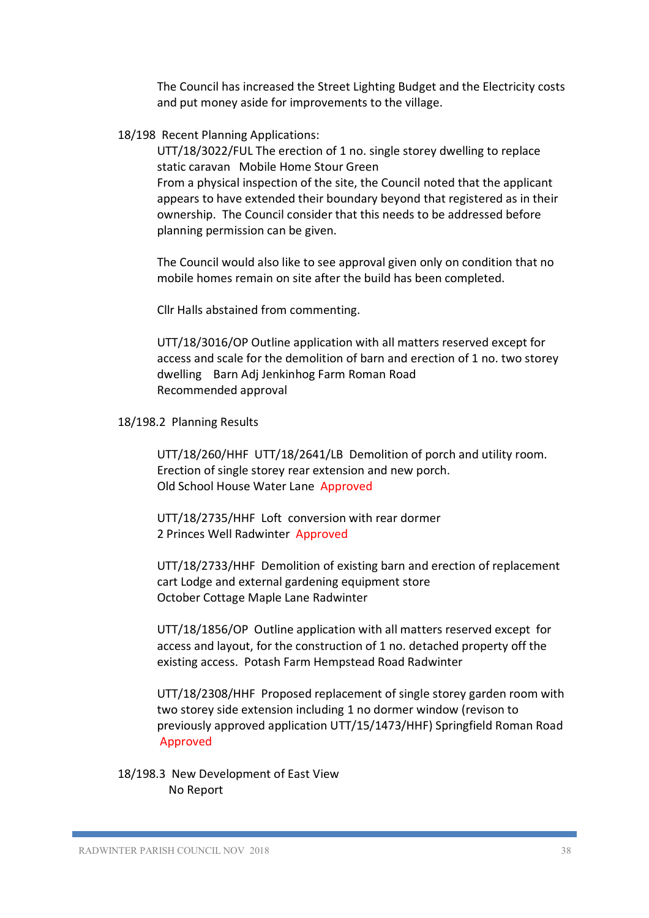The Council has increased the Street Lighting Budget and the Electricity costs and put money aside for improvements to the village.

18/198 Recent Planning Applications:

UTT/18/3022/FUL The erection of 1 no. single storey dwelling to replace static caravan Mobile Home Stour Green From a physical inspection of the site, the Council noted that the applicant appears to have extended their boundary beyond that registered as in their ownership. The Council consider that this needs to be addressed before planning permission can be given.

The Council would also like to see approval given only on condition that no mobile homes remain on site after the build has been completed.

Cllr Halls abstained from commenting.

UTT/18/3016/OP Outline application with all matters reserved except for access and scale for the demolition of barn and erection of 1 no. two storey dwelling Barn Adj Jenkinhog Farm Roman Road Recommended approval

18/198.2 Planning Results

UTT/18/260/HHF UTT/18/2641/LB Demolition of porch and utility room. Erection of single storey rear extension and new porch. Old School House Water Lane Approved

UTT/18/2735/HHF Loft conversion with rear dormer 2 Princes Well Radwinter Approved

UTT/18/2733/HHF Demolition of existing barn and erection of replacement cart Lodge and external gardening equipment store October Cottage Maple Lane Radwinter

UTT/18/1856/OP Outline application with all matters reserved except for access and layout, for the construction of 1 no. detached property off the existing access. Potash Farm Hempstead Road Radwinter

UTT/18/2308/HHF Proposed replacement of single storey garden room with two storey side extension including 1 no dormer window (revison to previously approved application UTT/15/1473/HHF) Springfield Roman Road Approved

 18/198.3 New Development of East View No Report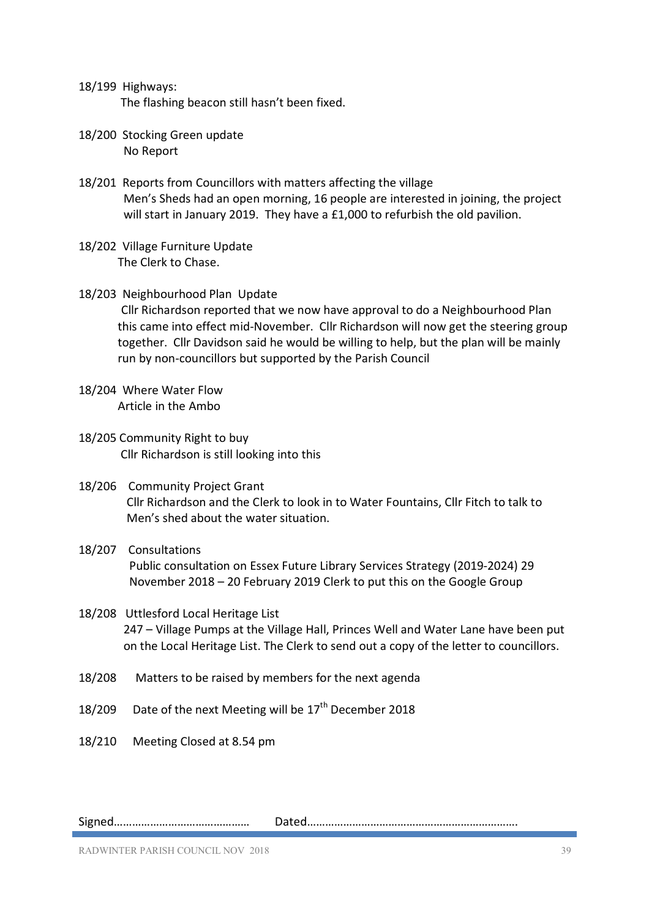- 18/199 Highways: The flashing beacon still hasn't been fixed.
- 18/200 Stocking Green update No Report
- 18/201 Reports from Councillors with matters affecting the village Men's Sheds had an open morning, 16 people are interested in joining, the project will start in January 2019. They have a £1,000 to refurbish the old pavilion.
- 18/202 Village Furniture Update The Clerk to Chase.
- 18/203 Neighbourhood Plan Update Cllr Richardson reported that we now have approval to do a Neighbourhood Plan this came into effect mid-November. Cllr Richardson will now get the steering group together. Cllr Davidson said he would be willing to help, but the plan will be mainly run by non-councillors but supported by the Parish Council
- 18/204 Where Water Flow Article in the Ambo
- 18/205 Community Right to buy Cllr Richardson is still looking into this
- 18/206 Community Project Grant Cllr Richardson and the Clerk to look in to Water Fountains, Cllr Fitch to talk to Men's shed about the water situation.
- 18/207 Consultations Public consultation on Essex Future Library Services Strategy (2019-2024) 29 November 2018 – 20 February 2019 Clerk to put this on the Google Group

## 18/208 Uttlesford Local Heritage List 247 – Village Pumps at the Village Hall, Princes Well and Water Lane have been put on the Local Heritage List. The Clerk to send out a copy of the letter to councillors.

- 18/208 Matters to be raised by members for the next agenda
- 18/209 Date of the next Meeting will be  $17<sup>th</sup>$  December 2018
- 18/210 Meeting Closed at 8.54 pm